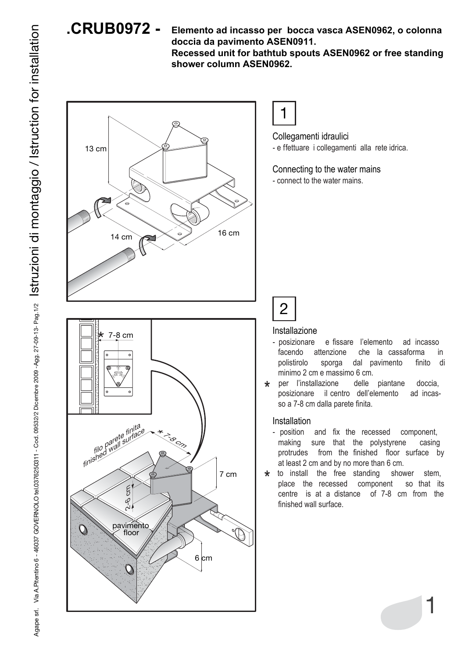

**Elemento ad incasso per bocca vasca ASEN0962, o colonna doccia da pavimento ASEN0911. Recessed unit for bathtub spouts ASEN0962 or free standing shower column ASEN0962.**



1

Collegamenti idraulici - e ffettuare i collegamenti alla rete idrica.

Connecting to the water mains - connect to the water mains.

## 2

## Installazione

- posizionare e fissare l'elemento ad incasso facendo attenzione che la cassaforma in polistirolo sporga dal pavimento finito di minimo 2 cm e massimo 6 cm.
- per l'installazione delle piantane doccia, posizionare il centro dell'elemento ad incasso a 7-8 cm dalla parete finita. \*

## Installation

- position and fix the recessed component, making sure that the polystyrene casing protrudes from the finished floor surface by at least 2 cm and by no more than 6 cm.
- to install the free standing shower stem, place the recessed component so that its centre is at a distance of 7-8 cm from the finished wall surface. \*

1